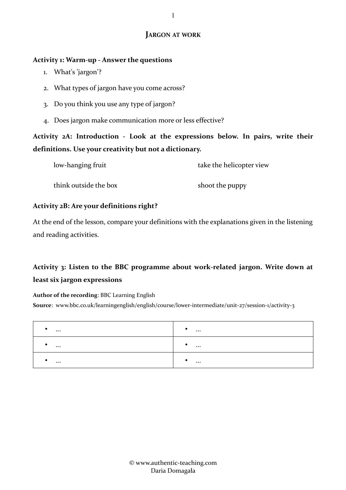# **JARGON AT WORK**

# **Activity 1: Warm-up - Answer the questions**

- 1. What's 'jargon'?
- 2. What types of jargon have you come across?
- 3. Do you think you use any type of jargon?
- 4. Does jargon make communication more or less effective?

# **Activity 2A: Introduction - Look at the expressions below. In pairs, write their definitions. Use your creativity but not a dictionary.**

| low-hanging fruit     | take the helicopter view |  |
|-----------------------|--------------------------|--|
| think outside the box | shoot the puppy          |  |

# **Activity 2B: Are your definitions right?**

At the end of the lesson, compare your definitions with the explanations given in the listening and reading activities.

# **Activity 3: Listen to the BBC programme about work-related jargon. Write down at least six jargon expressions**

## **Author of the recording**: BBC Learning English

**Source**: www.bbc.co.uk/learningenglish/english/course/lower-intermediate/unit-27/session-1/activity-3

| $\cdots$ | $\cdots$ |
|----------|----------|
| $\cdots$ | $\cdots$ |
| $\cdots$ | $\cdots$ |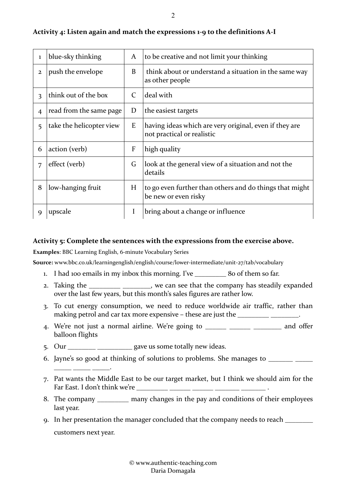| $\mathbf{1}$   | blue-sky thinking        | A | to be creative and not limit your thinking                                           |
|----------------|--------------------------|---|--------------------------------------------------------------------------------------|
| $\overline{2}$ | push the envelope        | B | think about or understand a situation in the same way<br>as other people             |
| 3              | think out of the box     | C | deal with                                                                            |
| $\overline{4}$ | read from the same page  | D | the easiest targets                                                                  |
| 5              | take the helicopter view | E | having ideas which are very original, even if they are<br>not practical or realistic |
| 6              | action (verb)            | F | high quality                                                                         |
| 7              | effect (verb)            | G | look at the general view of a situation and not the<br>details                       |
| 8              | low-hanging fruit        | H | to go even further than others and do things that might<br>be new or even risky      |
| 9              | upscale                  | I | bring about a change or influence                                                    |

## **Activity 4: Listen again and match the expressions 1-9 to the definitions A-I**

## **Activity 5: Complete the sentences with the expressions from the exercise above.**

**Examples**: BBC Learning English, 6-minute Vocabulary Series

\_\_\_\_\_ \_\_\_\_\_ \_\_\_\_\_.

**Source:** www.bbc.co.uk/learningenglish/english/course/lower-intermediate/unit-27/tab/vocabulary

- 1. I had 100 emails in my inbox this morning. I've 80 of them so far.
- 2. Taking the \_\_\_\_\_\_\_\_\_\_\_\_\_\_\_\_\_\_\_\_, we can see that the company has steadily expanded over the last few years, but this month's sales figures are rather low.
- 3. To cut energy consumption, we need to reduce worldwide air traffic, rather than making petrol and car tax more expensive – these are just the \_\_\_\_\_\_\_\_\_\_\_\_\_\_\_\_\_.
- 4. We're not just a normal airline. We're going to \_\_\_\_\_\_ \_\_\_\_\_\_ \_\_\_\_\_\_ and offer balloon flights
- 5. Our \_\_\_\_\_\_\_\_ \_\_\_\_\_\_\_\_\_\_ gave us some totally new ideas.
- 6. Jayne's so good at thinking of solutions to problems. She manages to \_\_\_\_\_\_\_ \_\_\_\_\_
- 7. Pat wants the Middle East to be our target market, but I think we should aim for the Far East. I don't think we're
- 8. The company \_\_\_\_\_\_\_\_\_ many changes in the pay and conditions of their employees last year.
- 9. In her presentation the manager concluded that the company needs to reach \_\_\_\_\_\_\_ customers next year.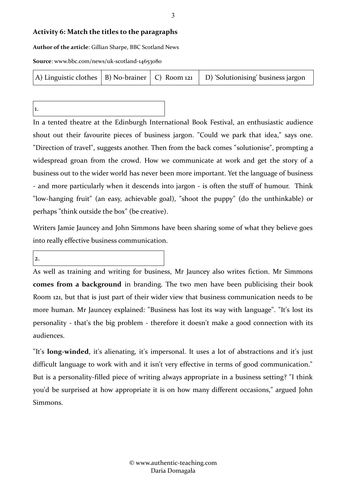## **Activity 6: Match the titles to the paragraphs**

**Author of the article**: Gillian Sharpe, BBC Scotland News

Source: www.bbc.com/news/uk-scotland-14653080

#### 1.

In a tented theatre at the Edinburgh International Book Festival, an enthusiastic audience shout out their favourite pieces of business jargon. "Could we park that idea," says one. "Direction of travel", suggests another. Then from the back comes "solutionise", prompting a widespread groan from the crowd. How we communicate at work and get the story of a business out to the wider world has never been more important. Yet the language of business - and more particularly when it descends into jargon - is often the stuff of humour. Think "low-hanging fruit" (an easy, achievable goal), "shoot the puppy" (do the unthinkable) or perhaps "think outside the box" (be creative).

Writers Jamie Jauncey and John Simmons have been sharing some of what they believe goes into really effective business communication.

#### 2.

As well as training and writing for business, Mr Jauncey also writes fiction. Mr Simmons **comes from a background** in branding. The two men have been publicising their book Room 121, but that is just part of their wider view that business communication needs to be more human. Mr Jauncey explained: "Business has lost its way with language". "It's lost its personality - that's the big problem - therefore it doesn't make a good connection with its audiences.

"It's **long-winded**, it's alienating, it's impersonal. It uses a lot of abstractions and it's just difficult language to work with and it isn't very effective in terms of good communication." But is a personality-filled piece of writing always appropriate in a business setting? "I think you'd be surprised at how appropriate it is on how many different occasions," argued John Simmons.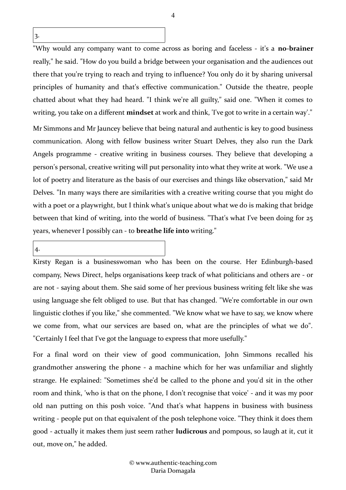"Why would any company want to come across as boring and faceless - it's a **no-brainer** really," he said. "How do you build a bridge between your organisation and the audiences out there that you're trying to reach and trying to influence? You only do it by sharing universal principles of humanity and that's effective communication." Outside the theatre, people chatted about what they had heard. "I think we're all guilty," said one. "When it comes to writing, you take on a different **mindset** at work and think, 'I've got to write in a certain way'."

Mr Simmons and Mr Jauncey believe that being natural and authentic is key to good business communication. Along with fellow business writer Stuart Delves, they also run the Dark Angels programme - creative writing in business courses. They believe that developing a person's personal, creative writing will put personality into what they write at work. "We use a lot of poetry and literature as the basis of our exercises and things like observation," said Mr Delves. "In many ways there are similarities with a creative writing course that you might do with a poet or a playwright, but I think what's unique about what we do is making that bridge between that kind of writing, into the world of business. "That's what I've been doing for 25 years, whenever I possibly can - to **breathe life into** writing."

#### 4.

3.

Kirsty Regan is a businesswoman who has been on the course. Her Edinburgh-based company, News Direct, helps organisations keep track of what politicians and others are - or are not - saying about them. She said some of her previous business writing felt like she was using language she felt obliged to use. But that has changed. "We're comfortable in our own linguistic clothes if you like," she commented. "We know what we have to say, we know where we come from, what our services are based on, what are the principles of what we do". "Certainly I feel that I've got the language to express that more usefully."

For a final word on their view of good communication, John Simmons recalled his grandmother answering the phone - a machine which for her was unfamiliar and slightly strange. He explained: "Sometimes she'd be called to the phone and you'd sit in the other room and think, 'who is that on the phone, I don't recognise that voice' - and it was my poor old nan putting on this posh voice. "And that's what happens in business with business writing - people put on that equivalent of the posh telephone voice. "They think it does them good - actually it makes them just seem rather **ludicrous** and pompous, so laugh at it, cut it out, move on," he added.

4

© www.authentic-teaching.com Daria Domagała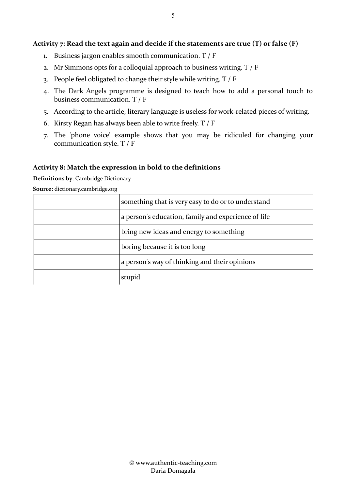## **Activity 7: Read the text again and decide if the statements are true (T) or false (F)**

- 1. Business jargon enables smooth communication. T / F
- 2. Mr Simmons opts for a colloquial approach to business writing. T / F
- 3. People feel obligated to change their style while writing. T / F
- 4. The Dark Angels programme is designed to teach how to add a personal touch to business communication. T / F
- 5. According to the article, literary language is useless for work-related pieces of writing.
- 6. Kirsty Regan has always been able to write freely. T / F
- 7. The 'phone voice' example shows that you may be ridiculed for changing your communication style. T / F

## **Activity 8: Match the expression in bold to the definitions**

**Definitions by**: Cambridge Dictionary

**Source:** dictionary.cambridge.org

| something that is very easy to do or to understand  |
|-----------------------------------------------------|
| a person's education, family and experience of life |
| bring new ideas and energy to something             |
| boring because it is too long                       |
| a person's way of thinking and their opinions       |
| stupid                                              |